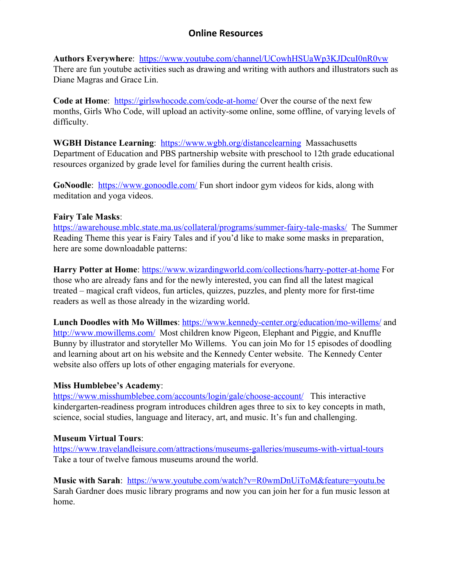**Authors Everywhere**: <https://www.youtube.com/channel/UCowhHSUaWp3KJDcuI0nR0vw> There are fun youtube activities such as drawing and writing with authors and illustrators such as Diane Magras and Grace Lin.

**Code at Home**: <https://girlswhocode.com/code-at-home/>Over the course of the next few months, Girls Who Code, will upload an activity-some online, some offline, of varying levels of difficulty.

**WGBH Distance Learning**: <https://www.wgbh.org/distancelearning> Massachusetts Department of Education and PBS partnership website with preschool to 12th grade educational resources organized by grade level for families during the current health crisis.

**GoNoodle**: <https://www.gonoodle.com/>Fun short indoor gym videos for kids, along with meditation and yoga videos.

### **Fairy Tale Masks**:

<https://awarehouse.mblc.state.ma.us/collateral/programs/summer-fairy-tale-masks/>The Summer Reading Theme this year is Fairy Tales and if you'd like to make some masks in preparation, here are some downloadable patterns:

**Harry Potter at Home**: <https://www.wizardingworld.com/collections/harry-potter-at-home> For those who are already fans and for the newly interested, you can find all the latest magical treated – magical craft videos, fun articles, quizzes, puzzles, and plenty more for first-time readers as well as those already in the wizarding world.

**Lunch Doodles with Mo Willmes**:<https://www.kennedy-center.org/education/mo-willems/> and <http://www.mowillems.com/>Most children know Pigeon, Elephant and Piggie, and Knuffle Bunny by illustrator and storyteller Mo Willems. You can join Mo for 15 episodes of doodling and learning about art on his website and the Kennedy Center website. The Kennedy Center website also offers up lots of other engaging materials for everyone.

## **Miss Humblebee's Academy**:

<https://www.misshumblebee.com/accounts/login/gale/choose-account/> This interactive kindergarten-readiness program introduces children ages three to six to key concepts in math, science, social studies, language and literacy, art, and music. It's fun and challenging.

## **Museum Virtual Tours**:

<https://www.travelandleisure.com/attractions/museums-galleries/museums-with-virtual-tours> Take a tour of twelve famous museums around the world.

Music with Sarah: <https://www.youtube.com/watch?v=R0wmDnUiToM&feature=youtu.be> Sarah Gardner does music library programs and now you can join her for a fun music lesson at home.